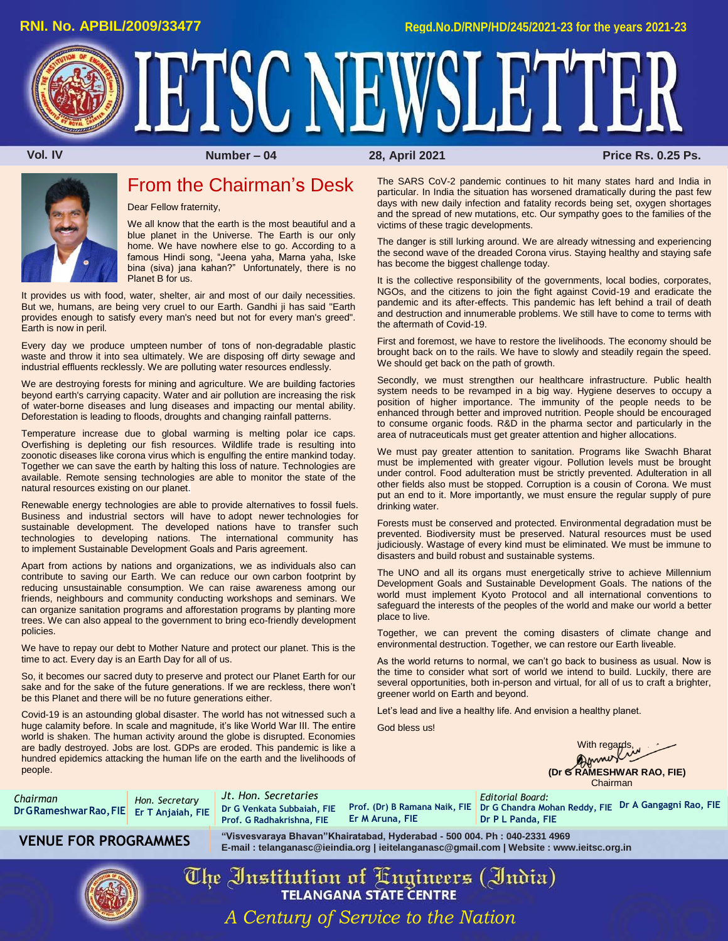**RNI. No. APBIL/2009/33477 Regd.No.D/RNP/HD/245/2021-23 for the years 2021-23**

IETSC NEWSLETTER

 **Vol. IV Number – 04 28, April 2021 Price Rs. 0.25 Ps.**



## From the Chairman's Desk

Dear Fellow fraternity,

We all know that the earth is the most beautiful and a blue planet in the Universe. The Earth is our only home. We have nowhere else to go. According to a famous Hindi song, "Jeena yaha, Marna yaha, Iske bina (siva) jana kahan?" Unfortunately, there is no Planet B for us.

It provides us with food, water, shelter, air and most of our daily necessities. But we, humans, are being very cruel to our Earth. Gandhi ji has said "Earth provides enough to satisfy every man's need but not for every man's greed". Earth is now in peril.

Every day we produce umpteen number of tons of non-degradable plastic waste and throw it into sea ultimately. We are disposing off dirty sewage and industrial effluents recklessly. We are polluting water resources endlessly.

We are destroying forests for mining and agriculture. We are building factories beyond earth's carrying capacity. Water and air pollution are increasing the risk of water-borne diseases and lung diseases and impacting our mental ability. Deforestation is leading to floods, droughts and changing rainfall patterns.

Temperature increase due to global warming is melting polar ice caps. Overfishing is depleting our fish resources. Wildlife trade is resulting into zoonotic diseases like corona virus which is engulfing the entire mankind today. Together we can save the earth by halting this loss of nature. Technologies are available. Remote sensing technologies are able to monitor the state of the natural resources existing on our planet.

Renewable energy technologies are able to provide alternatives to fossil fuels. Business and industrial sectors will have to adopt newer technologies for sustainable development. The developed nations have to transfer such technologies to developing nations. The international community has to implement Sustainable Development Goals and Paris agreement.

Apart from actions by nations and organizations, we as individuals also can contribute to saving our Earth. We can reduce our own carbon footprint by reducing unsustainable consumption. We can raise awareness among our friends, neighbours and community conducting workshops and seminars. We can organize sanitation programs and afforestation programs by planting more trees. We can also appeal to the government to bring eco-friendly development policies.

We have to repay our debt to Mother Nature and protect our planet. This is the time to act. Every day is an Earth Day for all of us.

So, it becomes our sacred duty to preserve and protect our Planet Earth for our sake and for the sake of the future generations. If we are reckless, there won't be this Planet and there will be no future generations either.

Covid-19 is an astounding global disaster. The world has not witnessed such a huge calamity before. In scale and magnitude, it's like World War III. The entire world is shaken. The human activity around the globe is disrupted. Economies are badly destroyed. Jobs are lost. GDPs are eroded. This pandemic is like a hundred epidemics attacking the human life on the earth and the livelihoods of people.

The SARS CoV-2 pandemic continues to hit many states hard and India in particular. In India the situation has worsened dramatically during the past few days with new daily infection and fatality records being set, oxygen shortages and the spread of new mutations, etc. Our sympathy goes to the families of the victims of these tragic developments.

The danger is still lurking around. We are already witnessing and experiencing the second wave of the dreaded Corona virus. Staying healthy and staying safe has become the biggest challenge today.

It is the collective responsibility of the governments, local bodies, corporates, NGOs, and the citizens to join the fight against Covid-19 and eradicate the pandemic and its after-effects. This pandemic has left behind a trail of death and destruction and innumerable problems. We still have to come to terms with the aftermath of Covid-19.

First and foremost, we have to restore the livelihoods. The economy should be brought back on to the rails. We have to slowly and steadily regain the speed. We should get back on the path of growth.

Secondly, we must strengthen our healthcare infrastructure. Public health system needs to be revamped in a big way. Hygiene deserves to occupy a position of higher importance. The immunity of the people needs to be enhanced through better and improved nutrition. People should be encouraged to consume organic foods. R&D in the pharma sector and particularly in the area of nutraceuticals must get greater attention and higher allocations.

We must pay greater attention to sanitation. Programs like Swachh Bharat must be implemented with greater vigour. Pollution levels must be brought under control. Food adulteration must be strictly prevented. Adulteration in all other fields also must be stopped. Corruption is a cousin of Corona. We must put an end to it. More importantly, we must ensure the regular supply of pure drinking water.

Forests must be conserved and protected. Environmental degradation must be prevented. Biodiversity must be preserved. Natural resources must be used judiciously. Wastage of every kind must be eliminated. We must be immune to disasters and build robust and sustainable systems.

The UNO and all its organs must energetically strive to achieve Millennium Development Goals and Sustainable Development Goals. The nations of the world must implement Kyoto Protocol and all international conventions to safeguard the interests of the peoples of the world and make our world a better place to live.

Together, we can prevent the coming disasters of climate change and environmental destruction. Together, we can restore our Earth liveable.

As the world returns to normal, we can't go back to business as usual. Now is the time to consider what sort of world we intend to build. Luckily, there are several opportunities, both in-person and virtual, for all of us to craft a brighter, greener world on Earth and beyond.

Let's lead and live a healthy life. And envision a healthy planet.

*Editorial Board:* **Dr P L Panda, FIE**

God bless us!

**With regards,** 

**(Dr G RAMESHWAR RAO, FIE)** Chairman

*Chairman* **DrGRameshwarRao,FIE Er T Anjaiah, FIE** *Hon. Secretary* 

*Jt. Hon. Secretaries* **Prof. G Radhakrishna, FIE**

**Dr G Venkata Subbaiah, FIE Prof. (Dr) B Ramana Naik, FIE Dr G Chandra Mohan Reddy, FIE Dr A Gangagni Rao, FIE Er M Aruna, FIE**

**VENUE FOR PROGRAMMES "Visvesvaraya Bhavan"Khairatabad, Hyderabad - 500 004. Ph : 040-2331 4969 E-mail [: telanganasc@ieindia.org |](mailto:telanganasc@ieindia.org) [ieitelanganasc@gmail.com |](mailto:ieitelanganasc@gmail.com) Website [: www.ieitsc.org.in](http://www.ieitsc.org.in/)**



The Institution of Engineers (India) *A Century of Service to the Nation*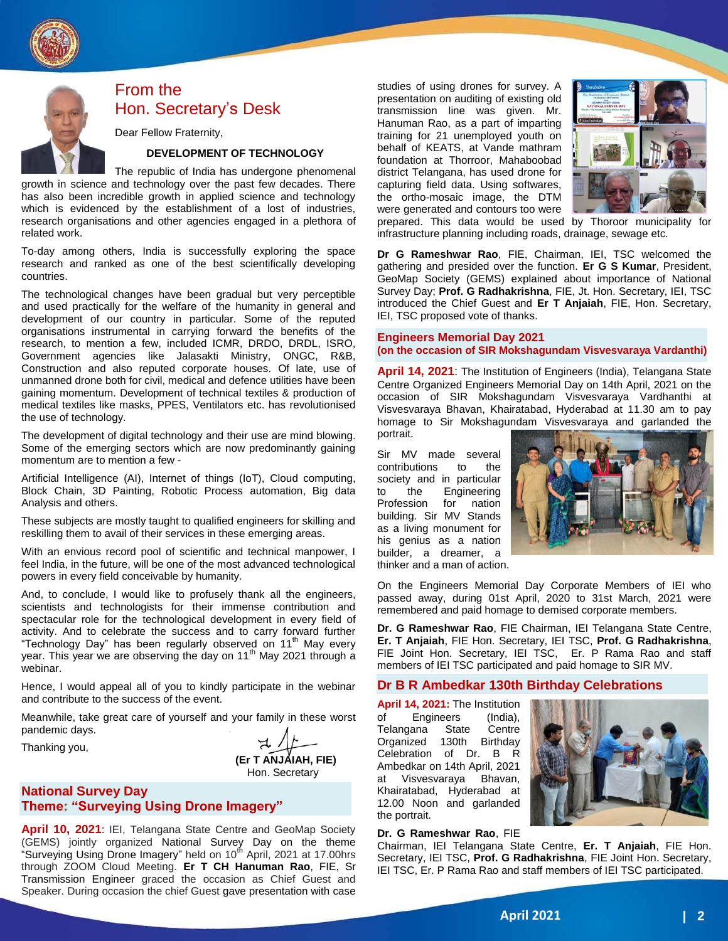

# From the Hon. Secretary's Desk

Dear Fellow Fraternity,

#### **DEVELOPMENT OF TECHNOLOGY**

The republic of India has undergone phenomenal growth in science and technology over the past few decades. There has also been incredible growth in applied science and technology which is evidenced by the establishment of a lost of industries, research organisations and other agencies engaged in a plethora of related work.

To-day among others, India is successfully exploring the space research and ranked as one of the best scientifically developing countries.

The technological changes have been gradual but very perceptible and used practically for the welfare of the humanity in general and development of our country in particular. Some of the reputed organisations instrumental in carrying forward the benefits of the research, to mention a few, included ICMR, DRDO, DRDL, ISRO, Government agencies like Jalasakti Ministry, ONGC, R&B, Construction and also reputed corporate houses. Of late, use of unmanned drone both for civil, medical and defence utilities have been gaining momentum. Development of technical textiles & production of medical textiles like masks, PPES, Ventilators etc. has revolutionised the use of technology.

The development of digital technology and their use are mind blowing. Some of the emerging sectors which are now predominantly gaining momentum are to mention a few -

Artificial Intelligence (AI), Internet of things (IoT), Cloud computing, Block Chain, 3D Painting, Robotic Process automation, Big data Analysis and others.

These subjects are mostly taught to qualified engineers for skilling and reskilling them to avail of their services in these emerging areas.

With an envious record pool of scientific and technical manpower, I feel India, in the future, will be one of the most advanced technological powers in every field conceivable by humanity.

And, to conclude, I would like to profusely thank all the engineers, scientists and technologists for their immense contribution and spectacular role for the technological development in every field of activity. And to celebrate the success and to carry forward further "Technology Day" has been regularly observed on 11<sup>th</sup> May every year. This year we are observing the day on 11<sup>th</sup> May 2021 through a webinar.

Hence, I would appeal all of you to kindly participate in the webinar and contribute to the success of the event.

Meanwhile, take great care of yourself and your family in these worst pandemic days.

Thanking you,

**(Er T ANJAIAH, FIE)** Hon. Secretary

## **National Survey Day Theme: "Surveying Using Drone Imagery"**

**April 10, 2021**: IEI, Telangana State Centre and GeoMap Society (GEMS) jointly organized National Survey Day on the theme "Surveying Using Drone Imagery" held on 10<sup>th</sup> April, 2021 at 17.00hrs through ZOOM Cloud Meeting. **Er T CH Hanuman Rao**, FIE, Sr Transmission Engineer graced the occasion as Chief Guest and Speaker. During occasion the chief Guest gave presentation with case

studies of using drones for survey. A presentation on auditing of existing old transmission line was given. Mr. Hanuman Rao, as a part of imparting training for 21 unemployed youth on behalf of KEATS, at Vande mathram foundation at Thorroor, Mahaboobad district Telangana, has used drone for capturing field data. Using softwares, the ortho-mosaic image, the DTM were generated and contours too were



prepared. This data would be used by Thoroor municipality for infrastructure planning including roads, drainage, sewage etc.

**Dr G Rameshwar Rao**, FIE, Chairman, IEI, TSC welcomed the gathering and presided over the function. **Er G S Kumar**, President, GeoMap Society (GEMS) explained about importance of National Survey Day; **Prof. G Radhakrishna**, FIE, Jt. Hon. Secretary, IEI, TSC introduced the Chief Guest and **Er T Anjaiah**, FIE, Hon. Secretary, IEI, TSC proposed vote of thanks.

#### **Engineers Memorial Day 2021 (on the occasion of SIR Mokshagundam Visvesvaraya Vardanthi)**

**April 14, 2021**: The Institution of Engineers (India), Telangana State Centre Organized Engineers Memorial Day on 14th April, 2021 on the occasion of SIR Mokshagundam Visvesvaraya Vardhanthi at Visvesvaraya Bhavan, Khairatabad, Hyderabad at 11.30 am to pay homage to Sir Mokshagundam Visvesvaraya and garlanded the portrait.

Sir MV made several contributions to the society and in particular to the Engineering Profession for nation building. Sir MV Stands as a living monument for his genius as a nation builder, a dreamer, a thinker and a man of action.



On the Engineers Memorial Day Corporate Members of IEI who passed away, during 01st April, 2020 to 31st March, 2021 were remembered and paid homage to demised corporate members.

**Dr. G Rameshwar Rao**, FIE Chairman, IEI Telangana State Centre, **Er. T Anjaiah**, FIE Hon. Secretary, IEI TSC, **Prof. G Radhakrishna**, FIE Joint Hon. Secretary, IEI TSC, Er. P Rama Rao and staff members of IEI TSC participated and paid homage to SIR MV.

#### **Dr B R Ambedkar 130th Birthday Celebrations**

**April 14, 2021:** The Institution of Engineers (India), Telangana State Centre Organized 130th Birthday Celebration of Dr. B R Ambedkar on 14th April, 2021 at Visvesvaraya Bhavan, Khairatabad, Hyderabad at 12.00 Noon and garlanded the portrait.



#### **Dr. G Rameshwar Rao**, FIE

Chairman, IEI Telangana State Centre, **Er. T Anjaiah**, FIE Hon. Secretary, IEI TSC, **Prof. G Radhakrishna**, FIE Joint Hon. Secretary, IEI TSC, Er. P Rama Rao and staff members of IEI TSC participated.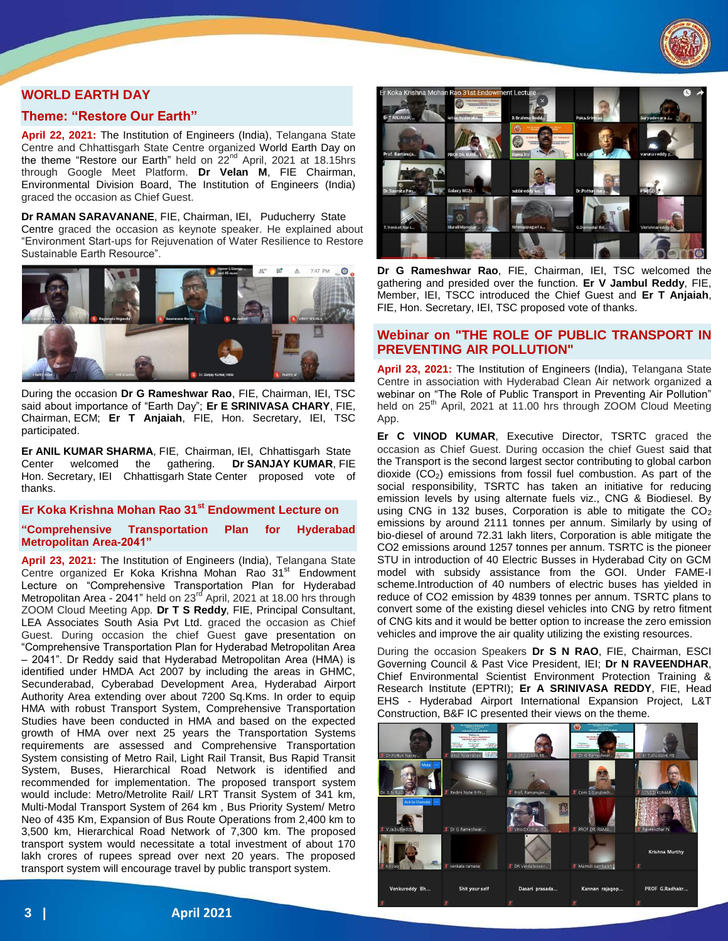

## **WORLD EARTH DAY**

#### **Theme: "Restore Our Earth"**

**April 22, 2021:** The Institution of Engineers (India), Telangana State Centre and Chhattisgarh State Centre organized World Earth Day on the theme "Restore our Earth" held on  $22<sup>nd</sup>$  April, 2021 at 18.15hrs through Google Meet Platform. **Dr Velan M**, FIE Chairman, Environmental Division Board, The Institution of Engineers (India) graced the occasion as Chief Guest.

**Dr RAMAN SARAVANANE**, FIE, Chairman, IEI, Puducherry State Centre graced the occasion as keynote speaker. He explained about "Environment Start-ups for Rejuvenation of Water Resilience to Restore Sustainable Earth Resource".



During the occasion **Dr G Rameshwar Rao**, FIE, Chairman, IEI, TSC said about importance of "Earth Day"; **Er E SRINIVASA CHARY**, FIE, Chairman, ECM; **Er T Anjaiah**, FIE, Hon. Secretary, IEI, TSC participated.

**Er ANIL KUMAR SHARMA**, FIE, Chairman, IEI, Chhattisgarh State Center welcomed the gathering. **Dr SANJAY KUMAR**, FIE Hon. Secretary, IEI Chhattisgarh State Center proposed vote of thanks.

## **Er Koka Krishna Mohan Rao 31st Endowment Lecture on**

**"Comprehensive Transportation Plan for Hyderabad Metropolitan Area-2041"**

**April 23, 2021:** The Institution of Engineers (India), Telangana State Centre organized Er Koka Krishna Mohan Rao 31<sup>st</sup> Endowment Lecture on "Comprehensive Transportation Plan for Hyderabad Metropolitan Area - 2041" held on 23<sup>rd</sup> April, 2021 at 18.00 hrs through ZOOM Cloud Meeting App. **Dr T S Reddy**, FIE, Principal Consultant, LEA Associates South Asia Pvt Ltd. graced the occasion as Chief Guest. During occasion the chief Guest gave presentation on "Comprehensive Transportation Plan for Hyderabad Metropolitan Area – 2041". Dr Reddy said that Hyderabad Metropolitan Area (HMA) is identified under HMDA Act 2007 by including the areas in GHMC, Secunderabad, Cyberabad Development Area, Hyderabad Airport Authority Area extending over about 7200 Sq.Kms. In order to equip HMA with robust Transport System, Comprehensive Transportation Studies have been conducted in HMA and based on the expected growth of HMA over next 25 years the Transportation Systems requirements are assessed and Comprehensive Transportation System consisting of Metro Rail, Light Rail Transit, Bus Rapid Transit System, Buses, Hierarchical Road Network is identified and recommended for implementation. The proposed transport system would include: Metro/Metrolite Rail/ LRT Transit System of 341 km, Multi-Modal Transport System of 264 km , Bus Priority System/ Metro Neo of 435 Km, Expansion of Bus Route Operations from 2,400 km to 3,500 km, Hierarchical Road Network of 7,300 km. The proposed transport system would necessitate a total investment of about 170 lakh crores of rupees spread over next 20 years. The proposed transport system will encourage travel by public transport system.



**Dr G Rameshwar Rao**, FIE, Chairman, IEI, TSC welcomed the gathering and presided over the function. **Er V Jambul Reddy**, FIE, Member, IEI, TSCC introduced the Chief Guest and **Er T Anjaiah**, FIE, Hon. Secretary, IEI, TSC proposed vote of thanks.

## **Webinar on "THE ROLE OF PUBLIC TRANSPORT IN PREVENTING AIR POLLUTION"**

**April 23, 2021:** The Institution of Engineers (India), Telangana State Centre in association with Hyderabad Clean Air network organized a webinar on "The Role of Public Transport in Preventing Air Pollution" held on 25<sup>th</sup> April, 2021 at 11.00 hrs through ZOOM Cloud Meeting App.

**Er C VINOD KUMAR**, Executive Director, TSRTC graced the occasion as Chief Guest. During occasion the chief Guest said that the Transport is the second largest sector contributing to global carbon dioxide  $(CO<sub>2</sub>)$  emissions from fossil fuel combustion. As part of the social responsibility, TSRTC has taken an initiative for reducing emission levels by using alternate fuels viz., CNG & Biodiesel. By using CNG in 132 buses, Corporation is able to mitigate the  $CO<sub>2</sub>$ emissions by around 2111 tonnes per annum. Similarly by using of bio-diesel of around 72.31 lakh liters, Corporation is able mitigate the CO2 emissions around 1257 tonnes per annum. TSRTC is the pioneer STU in introduction of 40 Electric Busses in Hyderabad City on GCM model with subsidy assistance from the GOI. Under FAME-I scheme.Introduction of 40 numbers of electric buses has yielded in reduce of CO2 emission by 4839 tonnes per annum. TSRTC plans to convert some of the existing diesel vehicles into CNG by retro fitment of CNG kits and it would be better option to increase the zero emission vehicles and improve the air quality utilizing the existing resources.

During the occasion Speakers **Dr S N RAO**, FIE, Chairman, ESCI Governing Council & Past Vice President, IEI; **Dr N RAVEENDHAR**, Chief Environmental Scientist Environment Protection Training & Research Institute (EPTRI); **Er A SRINIVASA REDDY**, FIE, Head EHS - Hyderabad Airport International Expansion Project, L&T Construction, B&F IC presented their views on the theme.